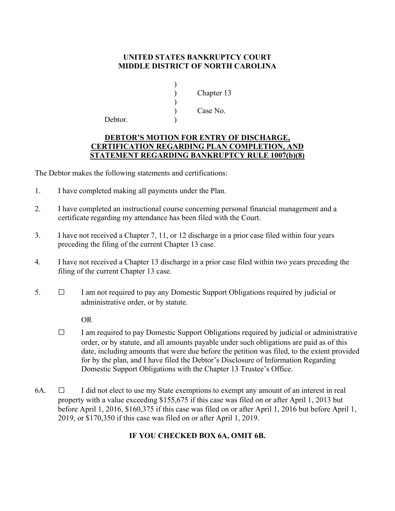## **UNITED STATES BANKRUPTCY COURT MIDDLE DISTRICT OF NORTH CAROLINA**

|                   | Chapter 13 |
|-------------------|------------|
|                   |            |
|                   | Case No.   |
| $D_{\alpha}$ htar |            |

Debtor.

 $)$ 

## **DEBTOR'S MOTION FOR ENTRY OF DISCHARGE, CERTIFICATION REGARDING PLAN COMPLETION, AND STATEMENT REGARDING BANKRUPTCY RULE 1007(b)(8)**

The Debtor makes the following statements and certifications:

- 1. I have completed making all payments under the Plan.
- 2. I have completed an instructional course concerning personal financial management and a certificate regarding my attendance has been filed with the Court.
- 3. I have not received a Chapter 7, 11, or 12 discharge in a prior case filed within four years preceding the filing of the current Chapter 13 case.
- 4. I have not received a Chapter 13 discharge in a prior case filed within two years preceding the filing of the current Chapter 13 case.
- 5. □ I am not required to pay any Domestic Support Obligations required by judicial or administrative order, or by statute.

OR

- $\Box$  I am required to pay Domestic Support Obligations required by judicial or administrative order, or by statute, and all amounts payable under such obligations are paid as of this date, including amounts that were due before the petition was filed, to the extent provided for by the plan, and I have filed the Debtor's Disclosure of Information Regarding Domestic Support Obligations with the Chapter 13 Trustee's Office.
- 6A.  $\Box$  I did not elect to use my State exemptions to exempt any amount of an interest in real property with a value exceeding \$155,675 if this case was filed on or after April 1, 2013 but before April 1, 2016, \$160,375 if this case was filed on or after April 1, 2016 but before April 1, 2019, or \$170,350 if this case was filed on or after April 1, 2019.

## **IF YOU CHECKED BOX 6A, OMIT 6B.**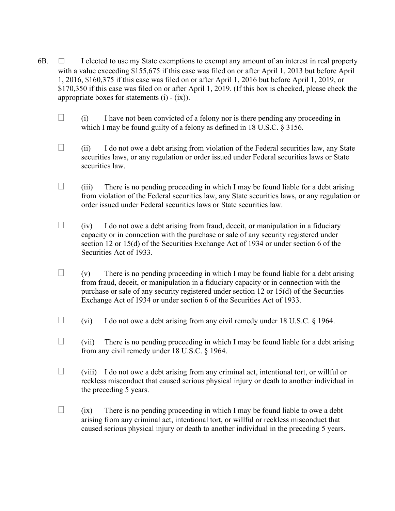- 6B.  $\Box$  I elected to use my State exemptions to exempt any amount of an interest in real property with a value exceeding \$155,675 if this case was filed on or after April 1, 2013 but before April 1, 2016, \$160,375 if this case was filed on or after April 1, 2016 but before April 1, 2019, or \$170,350 if this case was filed on or after April 1, 2019. (If this box is checked, please check the appropriate boxes for statements  $(i) - (ix)$ .
	- $\Box$  (i) I have not been convicted of a felony nor is there pending any proceeding in which I may be found guilty of a felony as defined in 18 U.S.C. § 3156.
	- $\Box$  (ii) I do not owe a debt arising from violation of the Federal securities law, any State securities laws, or any regulation or order issued under Federal securities laws or State securities law.
	- $\Box$  (iii) There is no pending proceeding in which I may be found liable for a debt arising from violation of the Federal securities law, any State securities laws, or any regulation or order issued under Federal securities laws or State securities law.
	- $\Box$  (iv) I do not owe a debt arising from fraud, deceit, or manipulation in a fiduciary capacity or in connection with the purchase or sale of any security registered under section 12 or 15(d) of the Securities Exchange Act of 1934 or under section 6 of the Securities Act of 1933.
	- $\Box$  (v) There is no pending proceeding in which I may be found liable for a debt arising from fraud, deceit, or manipulation in a fiduciary capacity or in connection with the purchase or sale of any security registered under section 12 or 15(d) of the Securities Exchange Act of 1934 or under section 6 of the Securities Act of 1933.
	- $\Box$  (vi) I do not owe a debt arising from any civil remedy under 18 U.S.C. § 1964.
	- $\Box$  (vii) There is no pending proceeding in which I may be found liable for a debt arising from any civil remedy under 18 U.S.C. § 1964.
	- $\Box$  (viii) I do not owe a debt arising from any criminal act, intentional tort, or will ful or reckless misconduct that caused serious physical injury or death to another individual in the preceding 5 years.
	- $\Box$  (ix) There is no pending proceeding in which I may be found liable to owe a debt arising from any criminal act, intentional tort, or willful or reckless misconduct that caused serious physical injury or death to another individual in the preceding 5 years.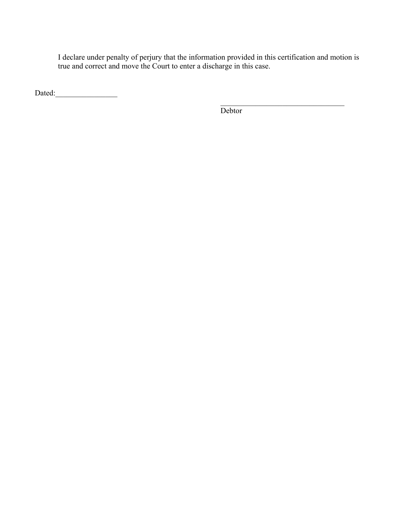I declare under penalty of perjury that the information provided in this certification and motion is true and correct and move the Court to enter a discharge in this case.

Dated:\_\_\_\_\_\_\_\_\_\_\_\_\_\_\_\_

**Debtor**